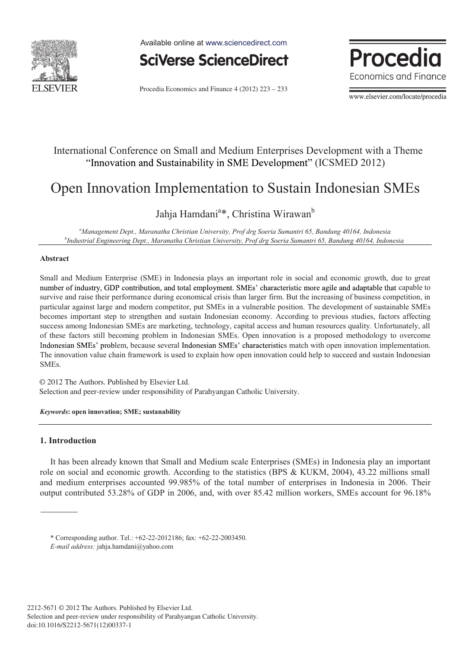

Available online at www.sciencedirect.com



Procedia Economics and Finance 4 (2012) 223 - 233

**Procedia Economics and Finance** 

www.elsevier.com/locate/procedia

# International Conference on Small and Medium Enterprises Development with a Theme "Innovation and Sustainability in SME Development" (ICSMED 2012)

# Open Innovation Implementation to Sustain Indonesian SMEs

Jahja Hamdani<sup>a</sup>\*, Christina Wirawan<sup>b</sup>

<sup>a</sup>Management Dept., Maranatha Christian University, Prof drg Soeria Sumantri 65, Bandung 40164, Indonesia<br><sup>b</sup>Industrial Engineering Dept. Maranatha Christian University, Prof drg Soeria Sumantri 65, Bandung 40164, Indon *Industrial Engineering Dept., Maranatha Christian University, Prof drg Soeria Sumantri 65, Bandung 40164, Indonesia* 

### **Abstract**

Small and Medium Enterprise (SME) in Indonesia plays an important role in social and economic growth, due to great number of industry, GDP contribution, and total employment. SMEs' characteristic more agile and adaptable that capable to survive and raise their performance during economical crisis than larger firm. But the increasing of business competition, in particular against large and modern competitor, put SMEs in a vulnerable position. The development of sustainable SMEs becomes important step to strengthen and sustain Indonesian economy. According to previous studies, factors affecting success among Indonesian SMEs are marketing, technology, capital access and human resources quality. Unfortunately, all of these factors still becoming problem in Indonesian SMEs. Open innovation is a proposed methodology to overcome Indonesian SMEs' problem, because several Indonesian SMEs' characteristics match with open innovation implementation. The innovation value chain framework is used to explain how open innovation could help to succeed and sustain Indonesian SMEs.

© 2012 The Authors. Published by Elsevier Ltd. © 2012 The Authors. Published by Elsevier Ltd. Selection and peer-review under responsibility of Parahyangan Catholic University.

#### *Keywords***: open innovation; SME; sustanability**

## **1. Introduction**

It has been already known that Small and Medium scale Enterprises (SMEs) in Indonesia play an important role on social and economic growth. According to the statistics (BPS & KUKM, 2004), 43.22 millions small and medium enterprises accounted 99.985% of the total number of enterprises in Indonesia in 2006. Their output contributed 53.28% of GDP in 2006, and, with over 85.42 million workers, SMEs account for 96.18%

<sup>\*</sup> Corresponding author. Tel.: +62-22-2012186; fax: +62-22-2003450.

*E-mail address:* jahja.hamdani@yahoo.com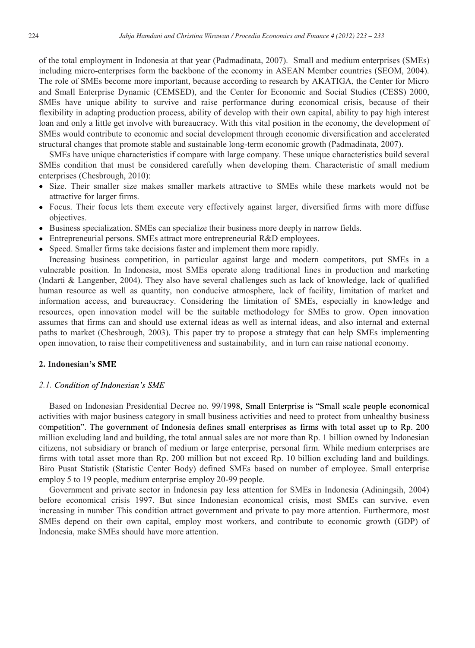of the total employment in Indonesia at that year (Padmadinata, 2007). Small and medium enterprises (SMEs) including micro-enterprises form the backbone of the economy in ASEAN Member countries (SEOM, 2004). The role of SMEs become more important, because according to research by AKATIGA, the Center for Micro and Small Enterprise Dynamic (CEMSED), and the Center for Economic and Social Studies (CESS) 2000, SMEs have unique ability to survive and raise performance during economical crisis, because of their flexibility in adapting production process, ability of develop with their own capital, ability to pay high interest loan and only a little get involve with bureaucracy. With this vital position in the economy, the development of SMEs would contribute to economic and social development through economic diversification and accelerated structural changes that promote stable and sustainable long-term economic growth (Padmadinata, 2007).

SMEs have unique characteristics if compare with large company. These unique characteristics build several SMEs condition that must be considered carefully when developing them. Characteristic of small medium enterprises (Chesbrough, 2010):

- Size. Their smaller size makes smaller markets attractive to SMEs while these markets would not be attractive for larger firms.
- Focus. Their focus lets them execute very effectively against larger, diversified firms with more diffuse objectives.
- Business specialization. SMEs can specialize their business more deeply in narrow fields.
- Entrepreneurial persons. SMEs attract more entrepreneurial R&D employees.
- Speed. Smaller firms take decisions faster and implement them more rapidly.

Increasing business competition, in particular against large and modern competitors, put SMEs in a vulnerable position. In Indonesia, most SMEs operate along traditional lines in production and marketing (Indarti & Langenber, 2004). They also have several challenges such as lack of knowledge, lack of qualified human resource as well as quantity, non conducive atmosphere, lack of facility, limitation of market and information access, and bureaucracy. Considering the limitation of SMEs, especially in knowledge and resources, open innovation model will be the suitable methodology for SMEs to grow. Open innovation assumes that firms can and should use external ideas as well as internal ideas, and also internal and external paths to market (Chesbrough, 2003). This paper try to propose a strategy that can help SMEs implementing open innovation, to raise their competitiveness and sustainability, and in turn can raise national economy.

### **2. Indonesian**

#### 2.1. Condition of Indonesian's SME

Based on Indonesian Presidential Decree no. 99/1998, Small Enterprise is "Small scale people economical activities with major business category in small business activities and need to protect from unhealthy business competition". The government of Indonesia defines small enterprises as firms with total asset up to Rp. 200 million excluding land and building, the total annual sales are not more than Rp. 1 billion owned by Indonesian citizens, not subsidiary or branch of medium or large enterprise, personal firm. While medium enterprises are firms with total asset more than Rp. 200 million but not exceed Rp. 10 billion excluding land and buildings. Biro Pusat Statistik (Statistic Center Body) defined SMEs based on number of employee. Small enterprise employ 5 to 19 people, medium enterprise employ 20-99 people.

Government and private sector in Indonesia pay less attention for SMEs in Indonesia (Adiningsih, 2004) before economical crisis 1997. But since Indonesian economical crisis, most SMEs can survive, even increasing in number This condition attract government and private to pay more attention. Furthermore, most SMEs depend on their own capital, employ most workers, and contribute to economic growth (GDP) of Indonesia, make SMEs should have more attention.